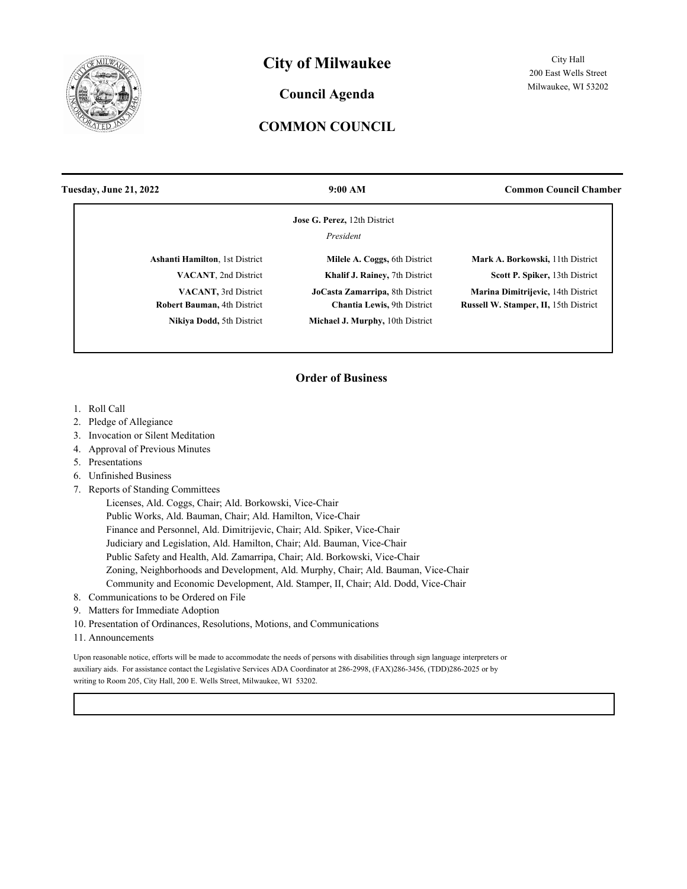

# **City of Milwaukee**

### **Council Agenda**

# **COMMON COUNCIL**

**Tuesday, June 21, 2022 9:00 AM Common Council Chamber Jose G. Perez,** 12th District *President*

**Ashanti Hamilton**, 1st District **VACANT**, 2nd District **VACANT,** 3rd District **Robert Bauman,** 4th District **Nikiya Dodd,** 5th District

**Milele A. Coggs,** 6th District **Khalif J. Rainey,** 7th District **JoCasta Zamarripa,** 8th District **Chantia Lewis,** 9th District **Michael J. Murphy,** 10th District

**Mark A. Borkowski,** 11th District **Scott P. Spiker,** 13th District **Marina Dimitrijevic,** 14th District **Russell W. Stamper, II,** 15th District

### **Order of Business**

- 1. Roll Call
- 2. Pledge of Allegiance
- 3. Invocation or Silent Meditation
- 4. Approval of Previous Minutes
- 5. Presentations
- 6. Unfinished Business
- 7. Reports of Standing Committees

 Licenses, Ald. Coggs, Chair; Ald. Borkowski, Vice-Chair Public Works, Ald. Bauman, Chair; Ald. Hamilton, Vice-Chair Finance and Personnel, Ald. Dimitrijevic, Chair; Ald. Spiker, Vice-Chair Judiciary and Legislation, Ald. Hamilton, Chair; Ald. Bauman, Vice-Chair Public Safety and Health, Ald. Zamarripa, Chair; Ald. Borkowski, Vice-Chair Zoning, Neighborhoods and Development, Ald. Murphy, Chair; Ald. Bauman, Vice-Chair Community and Economic Development, Ald. Stamper, II, Chair; Ald. Dodd, Vice-Chair

- 8. Communications to be Ordered on File
- 9. Matters for Immediate Adoption
- 10. Presentation of Ordinances, Resolutions, Motions, and Communications
- 11. Announcements

Upon reasonable notice, efforts will be made to accommodate the needs of persons with disabilities through sign language interpreters or auxiliary aids. For assistance contact the Legislative Services ADA Coordinator at 286-2998, (FAX)286-3456, (TDD)286-2025 or by writing to Room 205, City Hall, 200 E. Wells Street, Milwaukee, WI 53202.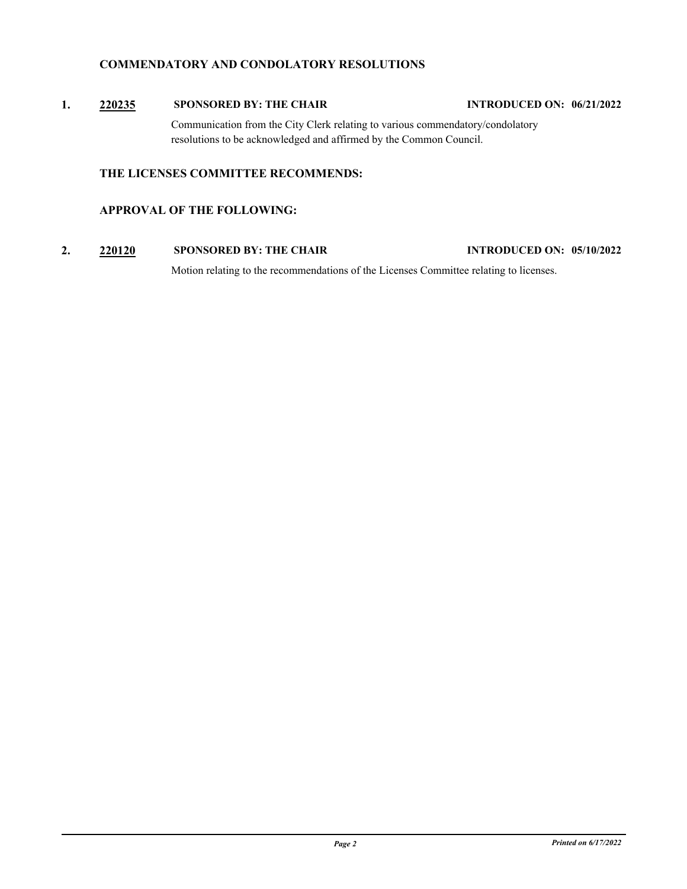### **COMMENDATORY AND CONDOLATORY RESOLUTIONS**

**1. [220235](http://milwaukee.legistar.com/gateway.aspx?m=l&id=62369) SPONSORED BY: THE CHAIR INTRODUCED ON: 06/21/2022**

Communication from the City Clerk relating to various commendatory/condolatory resolutions to be acknowledged and affirmed by the Common Council.

### **THE LICENSES COMMITTEE RECOMMENDS:**

# **APPROVAL OF THE FOLLOWING:**

**2. [220120](http://milwaukee.legistar.com/gateway.aspx?m=l&id=62171) SPONSORED BY: THE CHAIR INTRODUCED ON: 05/10/2022**

Motion relating to the recommendations of the Licenses Committee relating to licenses.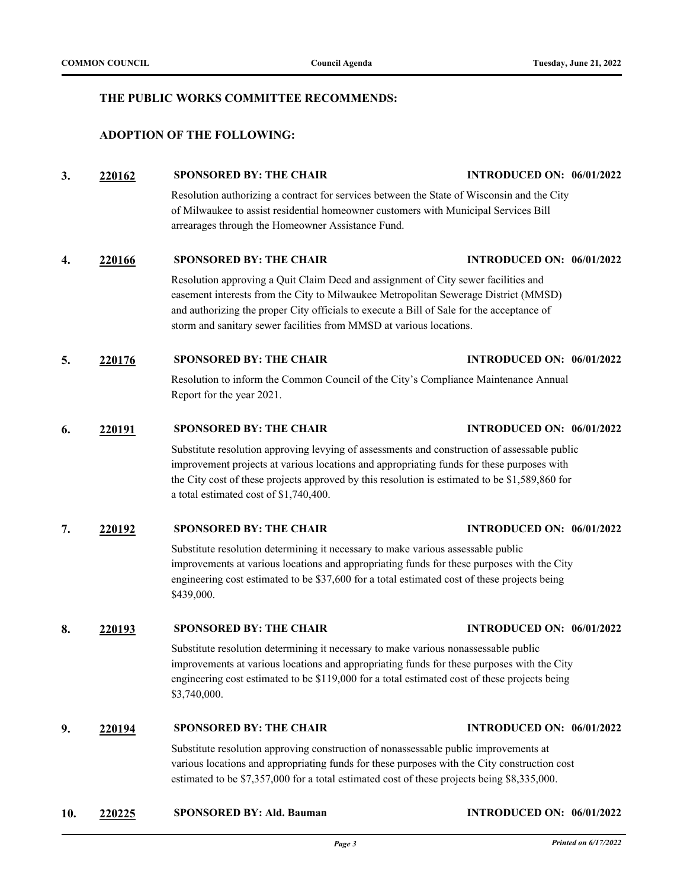#### **THE PUBLIC WORKS COMMITTEE RECOMMENDS:**

#### **ADOPTION OF THE FOLLOWING:**

# **3. [220162](http://milwaukee.legistar.com/gateway.aspx?m=l&id=62269) SPONSORED BY: THE CHAIR INTRODUCED ON: 06/01/2022**

Resolution authorizing a contract for services between the State of Wisconsin and the City of Milwaukee to assist residential homeowner customers with Municipal Services Bill arrearages through the Homeowner Assistance Fund.

#### **4. [220166](http://milwaukee.legistar.com/gateway.aspx?m=l&id=62277) SPONSORED BY: THE CHAIR INTRODUCED ON: 06/01/2022**

Resolution approving a Quit Claim Deed and assignment of City sewer facilities and easement interests from the City to Milwaukee Metropolitan Sewerage District (MMSD) and authorizing the proper City officials to execute a Bill of Sale for the acceptance of storm and sanitary sewer facilities from MMSD at various locations.

### **5. [220176](http://milwaukee.legistar.com/gateway.aspx?m=l&id=62287) SPONSORED BY: THE CHAIR INTRODUCED ON: 06/01/2022**

Resolution to inform the Common Council of the City's Compliance Maintenance Annual Report for the year 2021.

#### **6. [220191](http://milwaukee.legistar.com/gateway.aspx?m=l&id=62300) SPONSORED BY: THE CHAIR INTRODUCED ON: 06/01/2022**

Substitute resolution approving levying of assessments and construction of assessable public improvement projects at various locations and appropriating funds for these purposes with the City cost of these projects approved by this resolution is estimated to be \$1,589,860 for a total estimated cost of \$1,740,400.

#### **7. [220192](http://milwaukee.legistar.com/gateway.aspx?m=l&id=62301) SPONSORED BY: THE CHAIR INTRODUCED ON: 06/01/2022**

Substitute resolution determining it necessary to make various assessable public improvements at various locations and appropriating funds for these purposes with the City engineering cost estimated to be \$37,600 for a total estimated cost of these projects being \$439,000.

#### **8. [220193](http://milwaukee.legistar.com/gateway.aspx?m=l&id=62302) SPONSORED BY: THE CHAIR INTRODUCED ON: 06/01/2022**

Substitute resolution determining it necessary to make various nonassessable public improvements at various locations and appropriating funds for these purposes with the City engineering cost estimated to be \$119,000 for a total estimated cost of these projects being \$3,740,000.

#### **9. [220194](http://milwaukee.legistar.com/gateway.aspx?m=l&id=62303) SPONSORED BY: THE CHAIR INTRODUCED ON: 06/01/2022**

Substitute resolution approving construction of nonassessable public improvements at various locations and appropriating funds for these purposes with the City construction cost estimated to be \$7,357,000 for a total estimated cost of these projects being \$8,335,000.

**10. [220225](http://milwaukee.legistar.com/gateway.aspx?m=l&id=62353) SPONSORED BY: Ald. Bauman INTRODUCED ON: 06/01/2022**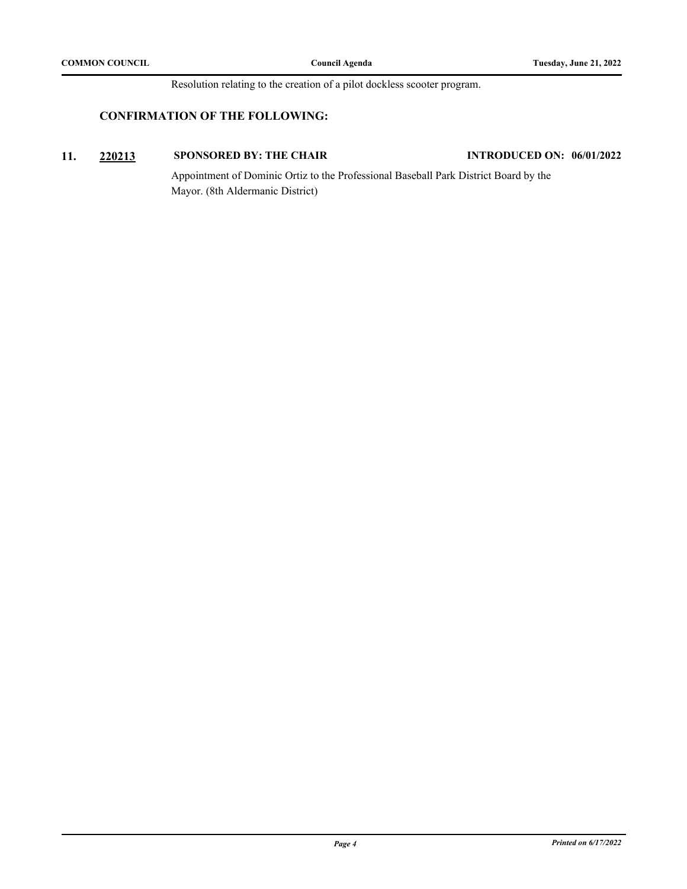Resolution relating to the creation of a pilot dockless scooter program.

### **CONFIRMATION OF THE FOLLOWING:**

### **11. [220213](http://milwaukee.legistar.com/gateway.aspx?m=l&id=62340) SPONSORED BY: THE CHAIR INTRODUCED ON: 06/01/2022**

Appointment of Dominic Ortiz to the Professional Baseball Park District Board by the Mayor. (8th Aldermanic District)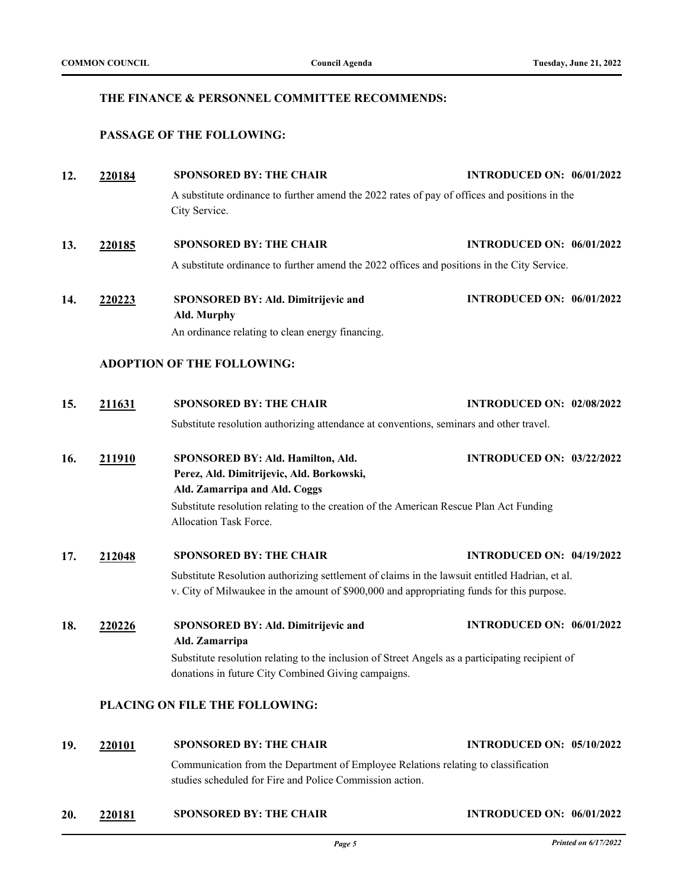### **THE FINANCE & PERSONNEL COMMITTEE RECOMMENDS:**

### **PASSAGE OF THE FOLLOWING:**

| 12. | 220184        | <b>SPONSORED BY: THE CHAIR</b>                                                                                                                                                              | <b>INTRODUCED ON: 06/01/2022</b> |
|-----|---------------|---------------------------------------------------------------------------------------------------------------------------------------------------------------------------------------------|----------------------------------|
|     |               | A substitute ordinance to further amend the 2022 rates of pay of offices and positions in the<br>City Service.                                                                              |                                  |
| 13. | 220185        | <b>SPONSORED BY: THE CHAIR</b>                                                                                                                                                              | <b>INTRODUCED ON: 06/01/2022</b> |
|     |               | A substitute ordinance to further amend the 2022 offices and positions in the City Service.                                                                                                 |                                  |
| 14. | 220223        | SPONSORED BY: Ald. Dimitrijevic and<br>Ald. Murphy                                                                                                                                          | <b>INTRODUCED ON: 06/01/2022</b> |
|     |               | An ordinance relating to clean energy financing.                                                                                                                                            |                                  |
|     |               | <b>ADOPTION OF THE FOLLOWING:</b>                                                                                                                                                           |                                  |
| 15. | 211631        | <b>SPONSORED BY: THE CHAIR</b>                                                                                                                                                              | <b>INTRODUCED ON: 02/08/2022</b> |
|     |               | Substitute resolution authorizing attendance at conventions, seminars and other travel.                                                                                                     |                                  |
| 16. | 211910        | SPONSORED BY: Ald. Hamilton, Ald.<br>Perez, Ald. Dimitrijevic, Ald. Borkowski,<br>Ald. Zamarripa and Ald. Coggs                                                                             | <b>INTRODUCED ON: 03/22/2022</b> |
|     |               | Substitute resolution relating to the creation of the American Rescue Plan Act Funding<br>Allocation Task Force.                                                                            |                                  |
| 17. | 212048        | <b>SPONSORED BY: THE CHAIR</b>                                                                                                                                                              | <b>INTRODUCED ON: 04/19/2022</b> |
|     |               | Substitute Resolution authorizing settlement of claims in the lawsuit entitled Hadrian, et al.<br>v. City of Milwaukee in the amount of \$900,000 and appropriating funds for this purpose. |                                  |
| 18. | 220226        | SPONSORED BY: Ald. Dimitrijevic and<br>Ald. Zamarripa                                                                                                                                       | <b>INTRODUCED ON: 06/01/2022</b> |
|     |               | Substitute resolution relating to the inclusion of Street Angels as a participating recipient of<br>donations in future City Combined Giving campaigns.                                     |                                  |
|     |               | PLACING ON FILE THE FOLLOWING:                                                                                                                                                              |                                  |
| 19. | <u>220101</u> | <b>SPONSORED BY: THE CHAIR</b>                                                                                                                                                              | <b>INTRODUCED ON: 05/10/2022</b> |
|     |               | Communication from the Department of Employee Relations relating to classification<br>studies scheduled for Fire and Police Commission action.                                              |                                  |

**20. [220181](http://milwaukee.legistar.com/gateway.aspx?m=l&id=62289) SPONSORED BY: THE CHAIR INTRODUCED ON: 06/01/2022**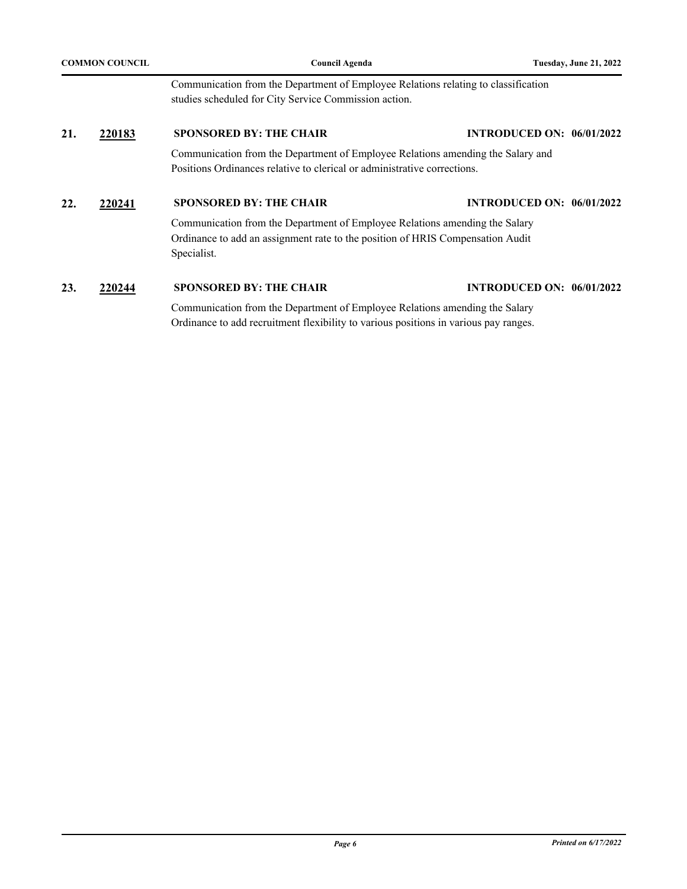| <b>COMMON COUNCIL</b> |                                                                                                                                                                     | Council Agenda                                                                                                                                                               | Tuesday, June 21, 2022           |
|-----------------------|---------------------------------------------------------------------------------------------------------------------------------------------------------------------|------------------------------------------------------------------------------------------------------------------------------------------------------------------------------|----------------------------------|
|                       |                                                                                                                                                                     | Communication from the Department of Employee Relations relating to classification<br>studies scheduled for City Service Commission action.                                  |                                  |
| 21.                   | 220183                                                                                                                                                              | <b>SPONSORED BY: THE CHAIR</b>                                                                                                                                               | <b>INTRODUCED ON: 06/01/2022</b> |
|                       |                                                                                                                                                                     | Communication from the Department of Employee Relations amending the Salary and<br>Positions Ordinances relative to clerical or administrative corrections.                  |                                  |
| 22.                   | 220241                                                                                                                                                              | <b>SPONSORED BY: THE CHAIR</b>                                                                                                                                               | <b>INTRODUCED ON: 06/01/2022</b> |
|                       |                                                                                                                                                                     | Communication from the Department of Employee Relations amending the Salary<br>Ordinance to add an assignment rate to the position of HRIS Compensation Audit<br>Specialist. |                                  |
| 23.                   | 220244                                                                                                                                                              | <b>SPONSORED BY: THE CHAIR</b>                                                                                                                                               | <b>INTRODUCED ON: 06/01/2022</b> |
|                       | Communication from the Department of Employee Relations amending the Salary<br>Ordinance to add recruitment flexibility to various positions in various pay ranges. |                                                                                                                                                                              |                                  |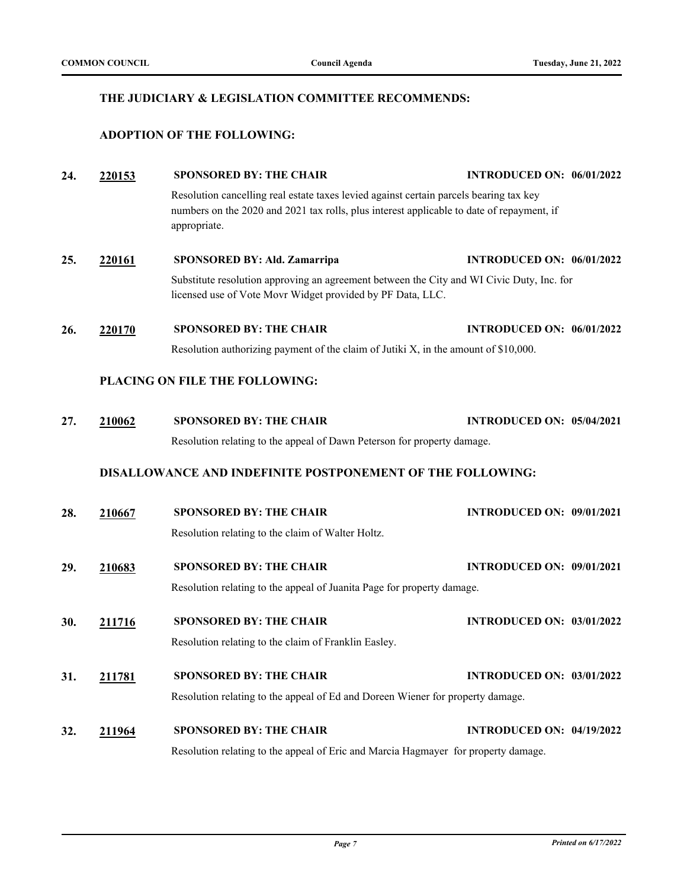#### **THE JUDICIARY & LEGISLATION COMMITTEE RECOMMENDS:**

### **ADOPTION OF THE FOLLOWING:**

**24. [220153](http://milwaukee.legistar.com/gateway.aspx?m=l&id=62253) SPONSORED BY: THE CHAIR INTRODUCED ON: 06/01/2022** Resolution cancelling real estate taxes levied against certain parcels bearing tax key numbers on the 2020 and 2021 tax rolls, plus interest applicable to date of repayment, if appropriate. **25. [220161](http://milwaukee.legistar.com/gateway.aspx?m=l&id=62267) SPONSORED BY: Ald. Zamarripa INTRODUCED ON: 06/01/2022** Substitute resolution approving an agreement between the City and WI Civic Duty, Inc. for licensed use of Vote Movr Widget provided by PF Data, LLC. **26. [220170](http://milwaukee.legistar.com/gateway.aspx?m=l&id=62281) SPONSORED BY: THE CHAIR INTRODUCED ON: 06/01/2022** Resolution authorizing payment of the claim of Jutiki X, in the amount of \$10,000.

### **PLACING ON FILE THE FOLLOWING:**

**27. [210062](http://milwaukee.legistar.com/gateway.aspx?m=l&id=57000) SPONSORED BY: THE CHAIR INTRODUCED ON: 05/04/2021** Resolution relating to the appeal of Dawn Peterson for property damage.

### **DISALLOWANCE AND INDEFINITE POSTPONEMENT OF THE FOLLOWING:**

| 28. | 210667 | <b>SPONSORED BY: THE CHAIR</b><br>Resolution relating to the claim of Walter Holtz.                                  | <b>INTRODUCED ON: 09/01/2021</b> |  |
|-----|--------|----------------------------------------------------------------------------------------------------------------------|----------------------------------|--|
| 29. | 210683 | <b>SPONSORED BY: THE CHAIR</b><br>Resolution relating to the appeal of Juanita Page for property damage.             | <b>INTRODUCED ON: 09/01/2021</b> |  |
| 30. | 211716 | <b>SPONSORED BY: THE CHAIR</b><br>Resolution relating to the claim of Franklin Easley.                               | <b>INTRODUCED ON: 03/01/2022</b> |  |
| 31. | 211781 | <b>SPONSORED BY: THE CHAIR</b><br>Resolution relating to the appeal of Ed and Doreen Wiener for property damage.     | <b>INTRODUCED ON: 03/01/2022</b> |  |
| 32. | 211964 | <b>SPONSORED BY: THE CHAIR</b><br>Resolution relating to the appeal of Eric and Marcia Hagmayer for property damage. | <b>INTRODUCED ON: 04/19/2022</b> |  |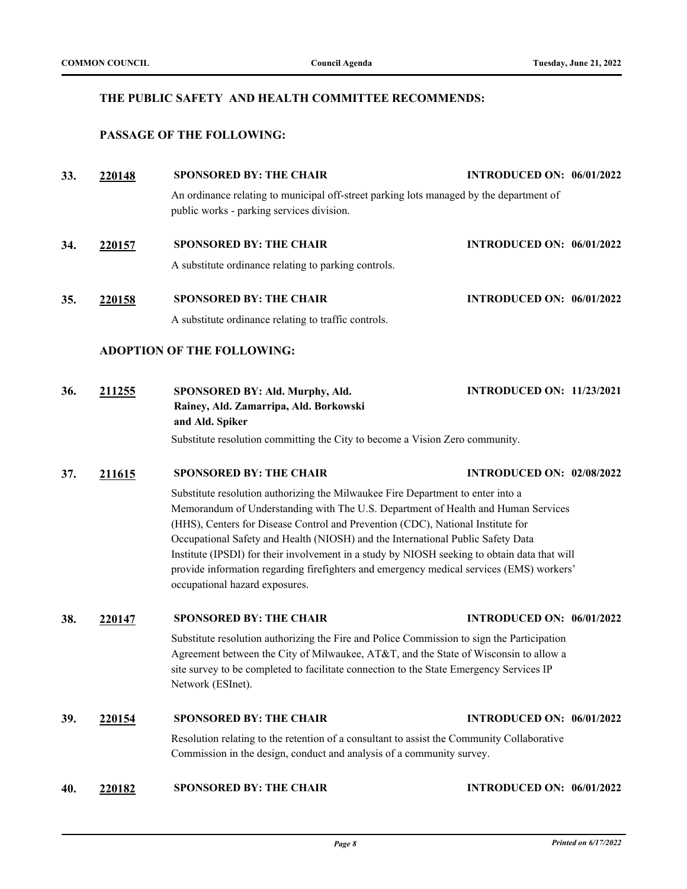#### **THE PUBLIC SAFETY AND HEALTH COMMITTEE RECOMMENDS:**

### **PASSAGE OF THE FOLLOWING:**

| 33. | 220148 | <b>SPONSORED BY: THE CHAIR</b>                                                                                                       | <b>INTRODUCED ON: 06/01/2022</b> |
|-----|--------|--------------------------------------------------------------------------------------------------------------------------------------|----------------------------------|
|     |        | An ordinance relating to municipal off-street parking lots managed by the department of<br>public works - parking services division. |                                  |
| 34. | 220157 | <b>SPONSORED BY: THE CHAIR</b><br>A substitute ordinance relating to parking controls.                                               | <b>INTRODUCED ON: 06/01/2022</b> |
| 35. | 220158 | <b>SPONSORED BY: THE CHAIR</b><br>A substitute ordinance relating to traffic controls.                                               | <b>INTRODUCED ON: 06/01/2022</b> |

### **ADOPTION OF THE FOLLOWING:**

| 36. | 211255 | SPONSORED BY: Ald. Murphy, Ald.                                              | <b>INTRODUCED ON: 11/23/2021</b> |
|-----|--------|------------------------------------------------------------------------------|----------------------------------|
|     |        | Rainey, Ald. Zamarripa, Ald. Borkowski                                       |                                  |
|     |        | and Ald. Spiker                                                              |                                  |
|     |        | Substitute resolution committing the City to become a Vision Zero community. |                                  |

#### **37. [211615](http://milwaukee.legistar.com/gateway.aspx?m=l&id=61325) SPONSORED BY: THE CHAIR INTRODUCED ON: 02/08/2022**

Substitute resolution authorizing the Milwaukee Fire Department to enter into a Memorandum of Understanding with The U.S. Department of Health and Human Services (HHS), Centers for Disease Control and Prevention (CDC), National Institute for Occupational Safety and Health (NIOSH) and the International Public Safety Data Institute (IPSDI) for their involvement in a study by NIOSH seeking to obtain data that will provide information regarding firefighters and emergency medical services (EMS) workers' occupational hazard exposures.

#### **38. [220147](http://milwaukee.legistar.com/gateway.aspx?m=l&id=62240) SPONSORED BY: THE CHAIR INTRODUCED ON: 06/01/2022**

Substitute resolution authorizing the Fire and Police Commission to sign the Participation Agreement between the City of Milwaukee, AT&T, and the State of Wisconsin to allow a site survey to be completed to facilitate connection to the State Emergency Services IP Network (ESInet).

**39. [220154](http://milwaukee.legistar.com/gateway.aspx?m=l&id=62255) SPONSORED BY: THE CHAIR INTRODUCED ON: 06/01/2022** Resolution relating to the retention of a consultant to assist the Community Collaborative Commission in the design, conduct and analysis of a community survey.

### **40. [220182](http://milwaukee.legistar.com/gateway.aspx?m=l&id=62290) SPONSORED BY: THE CHAIR INTRODUCED ON: 06/01/2022**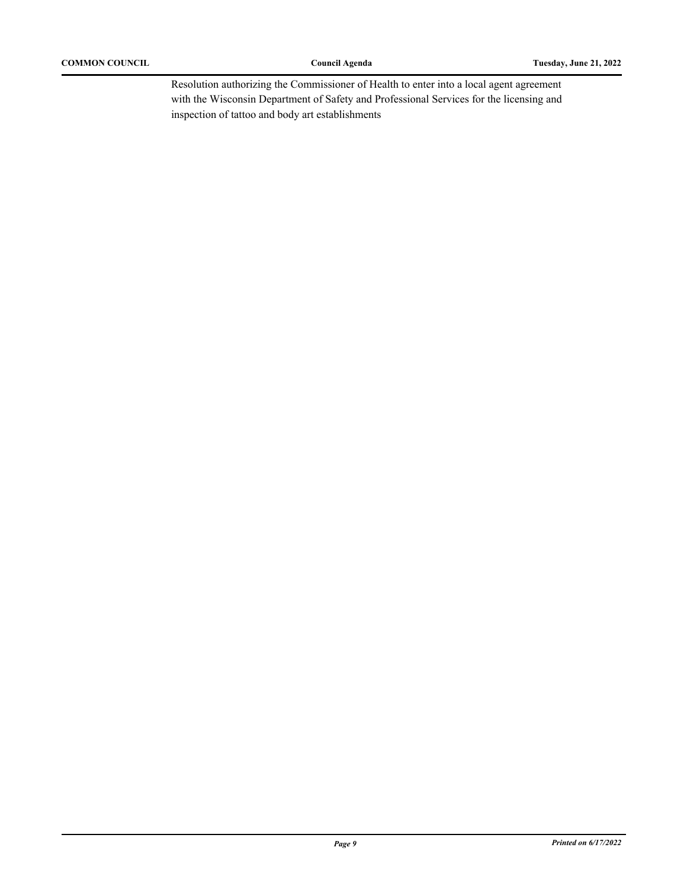Resolution authorizing the Commissioner of Health to enter into a local agent agreement with the Wisconsin Department of Safety and Professional Services for the licensing and inspection of tattoo and body art establishments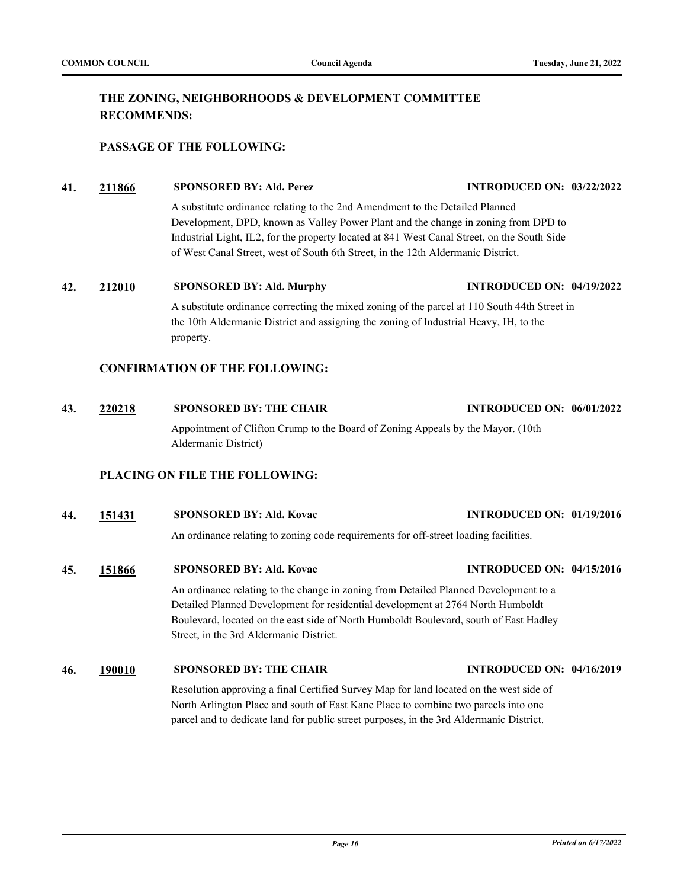# **THE ZONING, NEIGHBORHOODS & DEVELOPMENT COMMITTEE RECOMMENDS:**

#### **PASSAGE OF THE FOLLOWING:**

#### **41. [211866](http://milwaukee.legistar.com/gateway.aspx?m=l&id=61713) SPONSORED BY: Ald. Perez INTRODUCED ON: 03/22/2022**

A substitute ordinance relating to the 2nd Amendment to the Detailed Planned Development, DPD, known as Valley Power Plant and the change in zoning from DPD to Industrial Light, IL2, for the property located at 841 West Canal Street, on the South Side of West Canal Street, west of South 6th Street, in the 12th Aldermanic District.

#### **42. [212010](http://milwaukee.legistar.com/gateway.aspx?m=l&id=61941) SPONSORED BY: Ald. Murphy INTRODUCED ON: 04/19/2022**

A substitute ordinance correcting the mixed zoning of the parcel at 110 South 44th Street in the 10th Aldermanic District and assigning the zoning of Industrial Heavy, IH, to the property.

#### **CONFIRMATION OF THE FOLLOWING:**

**43. [220218](http://milwaukee.legistar.com/gateway.aspx?m=l&id=62345) SPONSORED BY: THE CHAIR INTRODUCED ON: 06/01/2022** Appointment of Clifton Crump to the Board of Zoning Appeals by the Mayor. (10th Aldermanic District)

### **PLACING ON FILE THE FOLLOWING:**

**44. [151431](http://milwaukee.legistar.com/gateway.aspx?m=l&id=43061) SPONSORED BY: Ald. Kovac INTRODUCED ON: 01/19/2016**

An ordinance relating to zoning code requirements for off-street loading facilities.

# **45. [151866](http://milwaukee.legistar.com/gateway.aspx?m=l&id=43593) SPONSORED BY: Ald. Kovac INTRODUCED ON: 04/15/2016** An ordinance relating to the change in zoning from Detailed Planned Development to a Detailed Planned Development for residential development at 2764 North Humboldt Boulevard, located on the east side of North Humboldt Boulevard, south of East Hadley Street, in the 3rd Aldermanic District.

#### **46. [190010](http://milwaukee.legistar.com/gateway.aspx?m=l&id=51376) SPONSORED BY: THE CHAIR INTRODUCED ON: 04/16/2019**

Resolution approving a final Certified Survey Map for land located on the west side of North Arlington Place and south of East Kane Place to combine two parcels into one parcel and to dedicate land for public street purposes, in the 3rd Aldermanic District.